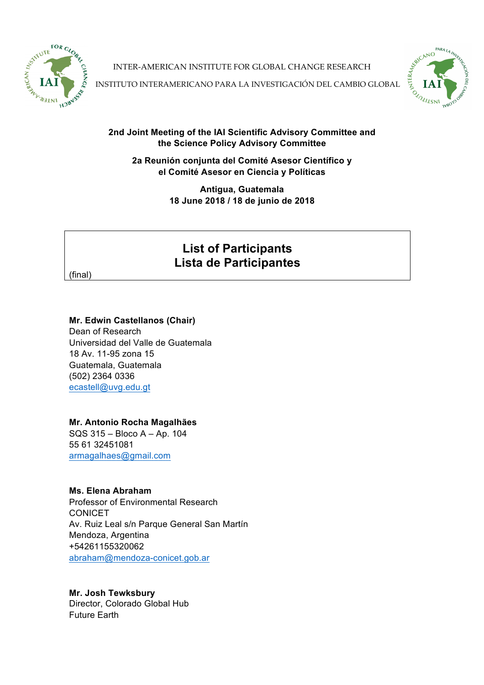

INTER-AMERICAN INSTITUTE FOR GLOBAL CHANGE RESEARCH



INSTITUTO INTERAMERICANO PARA LA INVESTIGACIÓN DEL CAMBIO GLOBAL

## **2nd Joint Meeting of the IAI Scientific Advisory Committee and the Science Policy Advisory Committee**

**2a Reunión conjunta del Comité Asesor Científico y el Comité Asesor en Ciencia y Políticas**

> **Antigua, Guatemala 18 June 2018 / 18 de junio de 2018**

# **List of Participants Lista de Participantes**

(final)

### **Mr. Edwin Castellanos (Chair)**

Dean of Research Universidad del Valle de Guatemala 18 Av. 11-95 zona 15 Guatemala, Guatemala (502) 2364 0336 ecastell@uvg.edu.gt

## **Mr. Antonio Rocha Magalhães**

SQS 315 – Bloco A – Ap. 104 55 61 32451081 armagalhaes@gmail.com

## **Ms. Elena Abraham**

Professor of Environmental Research CONICET Av. Ruiz Leal s/n Parque General San Martín Mendoza, Argentina +54261155320062 abraham@mendoza-conicet.gob.ar

**Mr. Josh Tewksbury** Director, Colorado Global Hub Future Earth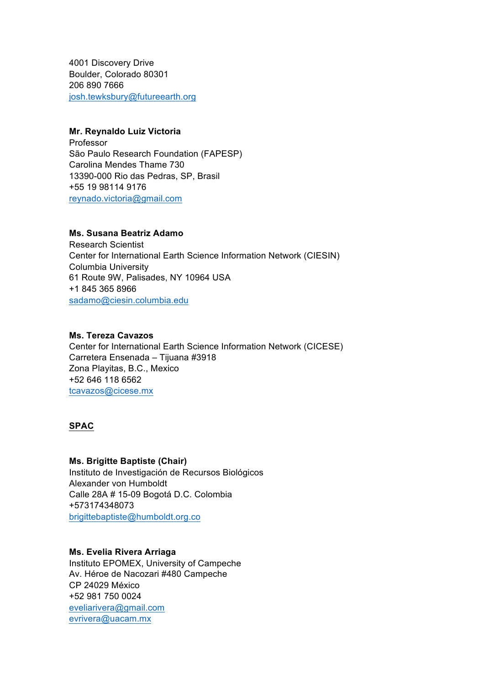4001 Discovery Drive Boulder, Colorado 80301 206 890 7666 josh.tewksbury@futureearth.org

#### **Mr. Reynaldo Luiz Victoria**

Professor São Paulo Research Foundation (FAPESP) Carolina Mendes Thame 730 13390-000 Rio das Pedras, SP, Brasil +55 19 98114 9176 reynado.victoria@gmail.com

#### **Ms. Susana Beatriz Adamo**

Research Scientist Center for International Earth Science Information Network (CIESIN) Columbia University 61 Route 9W, Palisades, NY 10964 USA +1 845 365 8966 sadamo@ciesin.columbia.edu

#### **Ms. Tereza Cavazos**

Center for International Earth Science Information Network (CICESE) Carretera Ensenada – Tijuana #3918 Zona Playitas, B.C., Mexico +52 646 118 6562 tcavazos@cicese.mx

## **SPAC**

#### **Ms. Brigitte Baptiste (Chair)**

Instituto de Investigación de Recursos Biológicos Alexander von Humboldt Calle 28A # 15-09 Bogotá D.C. Colombia +573174348073 brigittebaptiste@humboldt.org.co

#### **Ms. Evelia Rivera Arriaga**

Instituto EPOMEX, University of Campeche Av. Héroe de Nacozari #480 Campeche CP 24029 México +52 981 750 0024 eveliarivera@gmail.com evrivera@uacam.mx